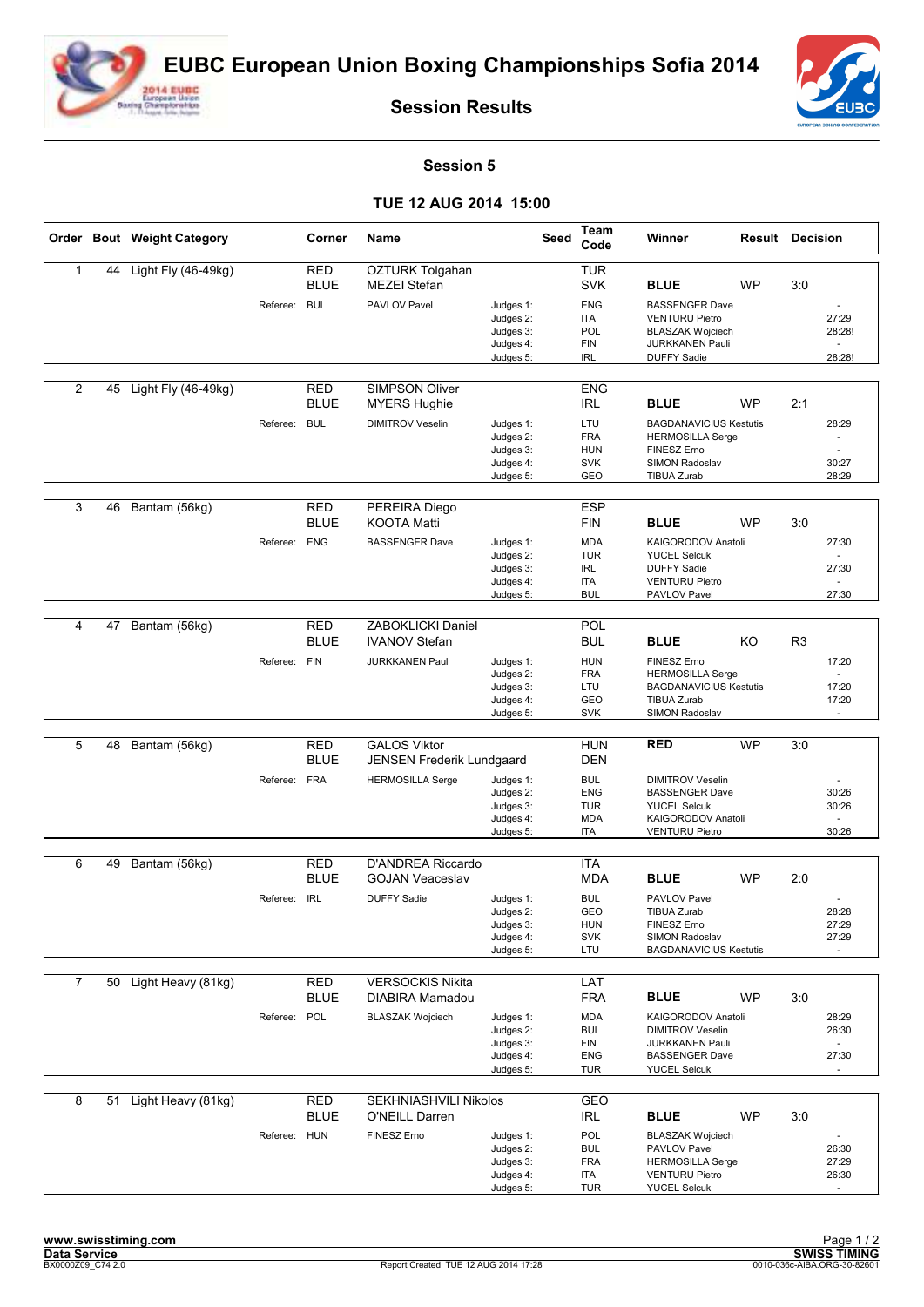



**Session Results**

## **Session 5**

## **TUE 12 AUG 2014 15:00**

|                |    | Order Bout Weight Category |              | Corner                    | Name                                           |                                                               | <b>Seed</b> | Team<br>Code                                                | Winner                                                                                                                    | <b>Result Decision</b> |                |                                  |
|----------------|----|----------------------------|--------------|---------------------------|------------------------------------------------|---------------------------------------------------------------|-------------|-------------------------------------------------------------|---------------------------------------------------------------------------------------------------------------------------|------------------------|----------------|----------------------------------|
| 1              |    | 44 Light Fly (46-49kg)     |              | <b>RED</b><br><b>BLUE</b> | OZTURK Tolgahan<br><b>MEZEI Stefan</b>         |                                                               |             | <b>TUR</b><br><b>SVK</b>                                    | <b>BLUE</b>                                                                                                               | <b>WP</b>              | 3:0            |                                  |
|                |    |                            | Referee:     | <b>BUL</b>                | PAVLOV Pavel                                   | Judges 1:<br>Judges 2:<br>Judges 3:<br>Judges 4:<br>Judges 5: |             | <b>ENG</b><br><b>ITA</b><br>POL<br><b>FIN</b><br><b>IRL</b> | <b>BASSENGER Dave</b><br><b>VENTURU Pietro</b><br><b>BLASZAK Wojciech</b><br><b>JURKKANEN Pauli</b><br><b>DUFFY Sadie</b> |                        |                | 27:29<br>28:28!<br>÷.<br>28:28!  |
| $\overline{2}$ | 45 | Light Fly (46-49kg)        |              | RED<br><b>BLUE</b>        | <b>SIMPSON Oliver</b><br><b>MYERS Hughie</b>   |                                                               |             | <b>ENG</b><br><b>IRL</b>                                    | <b>BLUE</b>                                                                                                               | <b>WP</b>              | 2:1            |                                  |
|                |    |                            | Referee:     | <b>BUL</b>                | <b>DIMITROV Veselin</b>                        | Judges 1:<br>Judges 2:<br>Judges 3:<br>Judges 4:              |             | LTU<br><b>FRA</b><br><b>HUN</b><br><b>SVK</b>               | <b>BAGDANAVICIUS Kestutis</b><br><b>HERMOSILLA Serge</b><br>FINESZ Erno<br>SIMON Radoslav                                 |                        |                | 28:29<br>$\sim$<br>30:27         |
|                |    |                            |              |                           |                                                | Judges 5:                                                     |             | GEO                                                         | <b>TIBUA Zurab</b>                                                                                                        |                        |                | 28:29                            |
| 3              | 46 | Bantam (56kg)              |              | <b>RED</b><br><b>BLUE</b> | PEREIRA Diego<br><b>KOOTA Matti</b>            |                                                               |             | <b>ESP</b><br><b>FIN</b>                                    | <b>BLUE</b>                                                                                                               | <b>WP</b>              | 3:0            |                                  |
|                |    |                            | Referee:     | <b>ENG</b>                | <b>BASSENGER Dave</b>                          | Judges 1:<br>Judges 2:                                        |             | <b>MDA</b><br><b>TUR</b>                                    | KAIGORODOV Anatoli<br><b>YUCEL Selcuk</b>                                                                                 |                        |                | 27:30                            |
|                |    |                            |              |                           |                                                | Judges 3:<br>Judges 4:<br>Judges 5:                           |             | <b>IRL</b><br>ITA<br><b>BUL</b>                             | <b>DUFFY Sadie</b><br><b>VENTURU Pietro</b><br>PAVLOV Pavel                                                               |                        |                | 27:30<br>÷.<br>27:30             |
|                |    |                            |              |                           |                                                |                                                               |             |                                                             |                                                                                                                           |                        |                |                                  |
| 4              | 47 | Bantam (56kg)              |              | <b>RED</b><br><b>BLUE</b> | ZABOKLICKI Daniel<br><b>IVANOV Stefan</b>      |                                                               |             | POL<br><b>BUL</b>                                           | <b>BLUE</b>                                                                                                               | KO                     | R <sub>3</sub> |                                  |
|                |    |                            | Referee:     | <b>FIN</b>                | JURKKANEN Pauli                                | Judges 1:<br>Judges 2:<br>Judges 3:                           |             | <b>HUN</b><br><b>FRA</b><br>LTU                             | FINESZ Erno<br><b>HERMOSILLA Serge</b><br><b>BAGDANAVICIUS Kestutis</b>                                                   |                        |                | 17:20<br>$\overline{a}$<br>17:20 |
|                |    |                            |              |                           |                                                | Judges 4:<br>Judges 5:                                        |             | <b>GEO</b><br><b>SVK</b>                                    | <b>TIBUA Zurab</b><br>SIMON Radoslav                                                                                      |                        |                | 17:20                            |
| 5              | 48 | Bantam (56kg)              |              | <b>RED</b>                | <b>GALOS Viktor</b>                            |                                                               |             | <b>HUN</b>                                                  | <b>RED</b>                                                                                                                | <b>WP</b>              | 3:0            |                                  |
|                |    |                            |              | <b>BLUE</b>               | JENSEN Frederik Lundgaard                      |                                                               |             | <b>DEN</b>                                                  |                                                                                                                           |                        |                |                                  |
|                |    |                            | Referee:     | <b>FRA</b>                | <b>HERMOSILLA Serge</b>                        | Judges 1:<br>Judges 2:                                        |             | <b>BUL</b><br><b>ENG</b>                                    | <b>DIMITROV Veselin</b><br><b>BASSENGER Dave</b>                                                                          |                        |                | 30:26                            |
|                |    |                            |              |                           |                                                | Judges 3:                                                     |             | <b>TUR</b>                                                  | <b>YUCEL Selcuk</b>                                                                                                       |                        |                | 30:26                            |
|                |    |                            |              |                           |                                                | Judges 4:<br>Judges 5:                                        |             | <b>MDA</b><br>ITA                                           | KAIGORODOV Anatoli<br><b>VENTURU Pietro</b>                                                                               |                        |                | $\sim$<br>30:26                  |
| 6              |    | Bantam (56kg)              |              | <b>RED</b>                | D'ANDREA Riccardo                              |                                                               |             | <b>ITA</b>                                                  |                                                                                                                           |                        |                |                                  |
|                | 49 |                            |              | <b>BLUE</b>               | <b>GOJAN Veaceslav</b>                         |                                                               |             | <b>MDA</b>                                                  | <b>BLUE</b>                                                                                                               | <b>WP</b>              | 2:0            |                                  |
|                |    |                            | Referee:     | <b>IRL</b>                | <b>DUFFY Sadie</b>                             | Judges 1:<br>Judges 2:<br>Judges 3:<br>Judges 4:              |             | <b>BUL</b><br>GEO<br><b>HUN</b><br><b>SVK</b>               | PAVLOV Pavel<br><b>TIBUA Zurab</b><br>FINESZ Erno<br>SIMON Radoslav                                                       |                        |                | 28:28<br>27:29<br>27:29          |
|                |    |                            |              |                           |                                                | Judges 5:                                                     |             | LTU                                                         | <b>BAGDANAVICIUS Kestutis</b>                                                                                             |                        |                |                                  |
| $\overline{7}$ |    | 50 Light Heavy (81kg)      |              | <b>RED</b><br><b>BLUE</b> | <b>VERSOCKIS Nikita</b><br>DIABIRA Mamadou     |                                                               |             | LAT<br><b>FRA</b>                                           | <b>BLUE</b>                                                                                                               | WP                     | 3:0            |                                  |
|                |    |                            | Referee:     | POL                       | <b>BLASZAK Wojciech</b>                        | Judges 1:<br>Judges 2:<br>Judges 3:<br>Judges 4:<br>Judges 5: |             | <b>MDA</b><br><b>BUL</b><br>FIN<br><b>ENG</b><br><b>TUR</b> | KAIGORODOV Anatoli<br><b>DIMITROV Veselin</b><br><b>JURKKANEN Pauli</b><br><b>BASSENGER Dave</b><br><b>YUCEL Selcuk</b>   |                        |                | 28:29<br>26:30<br>27:30          |
| 8              | 51 | Light Heavy (81kg)         |              | <b>RED</b><br><b>BLUE</b> | SEKHNIASHVILI Nikolos<br><b>O'NEILL Darren</b> |                                                               |             | GEO<br><b>IRL</b>                                           | <b>BLUE</b>                                                                                                               | WP                     | 3:0            |                                  |
|                |    |                            | Referee: HUN |                           | FINESZ Erno                                    | Judges 1:<br>Judges 2:<br>Judges 3:<br>Judges 4:<br>Judges 5: |             | POL<br><b>BUL</b><br><b>FRA</b><br><b>ITA</b><br><b>TUR</b> | <b>BLASZAK Wojciech</b><br>PAVLOV Pavel<br><b>HERMOSILLA Serge</b><br><b>VENTURU Pietro</b><br><b>YUCEL Selcuk</b>        |                        |                | 26:30<br>27:29<br>26:30          |